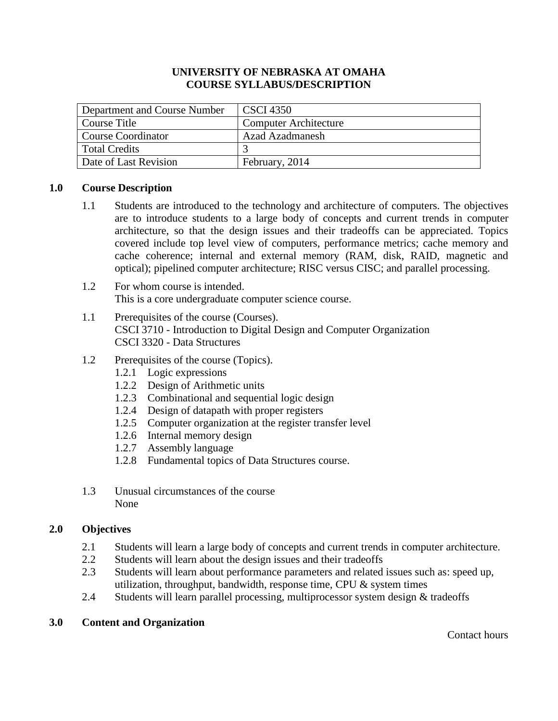## **UNIVERSITY OF NEBRASKA AT OMAHA COURSE SYLLABUS/DESCRIPTION**

| Department and Course Number | <b>CSCI</b> 4350             |
|------------------------------|------------------------------|
| Course Title                 | <b>Computer Architecture</b> |
| <b>Course Coordinator</b>    | <b>Azad Azadmanesh</b>       |
| <b>Total Credits</b>         |                              |
| Date of Last Revision        | February, 2014               |

## **1.0 Course Description**

- 1.1 Students are introduced to the technology and architecture of computers. The objectives are to introduce students to a large body of concepts and current trends in computer architecture, so that the design issues and their tradeoffs can be appreciated. Topics covered include top level view of computers, performance metrics; cache memory and cache coherence; internal and external memory (RAM, disk, RAID, magnetic and optical); pipelined computer architecture; RISC versus CISC; and parallel processing.
- 1.2 For whom course is intended. This is a core undergraduate computer science course.
- 1.1 Prerequisites of the course (Courses). CSCI 3710 - Introduction to Digital Design and Computer Organization CSCI 3320 - Data Structures
- 1.2 Prerequisites of the course (Topics).
	- 1.2.1 Logic expressions
	- 1.2.2 Design of Arithmetic units
	- 1.2.3 Combinational and sequential logic design
	- 1.2.4 Design of datapath with proper registers
	- 1.2.5 Computer organization at the register transfer level
	- 1.2.6 Internal memory design
	- 1.2.7 Assembly language
	- 1.2.8 Fundamental topics of Data Structures course.
- 1.3 Unusual circumstances of the course None

## **2.0 Objectives**

- 2.1 Students will learn a large body of concepts and current trends in computer architecture.
- 2.2 Students will learn about the design issues and their tradeoffs
- 2.3 Students will learn about performance parameters and related issues such as: speed up, utilization, throughput, bandwidth, response time, CPU  $&$  system times
- 2.4 Students will learn parallel processing, multiprocessor system design & tradeoffs

## **3.0 Content and Organization**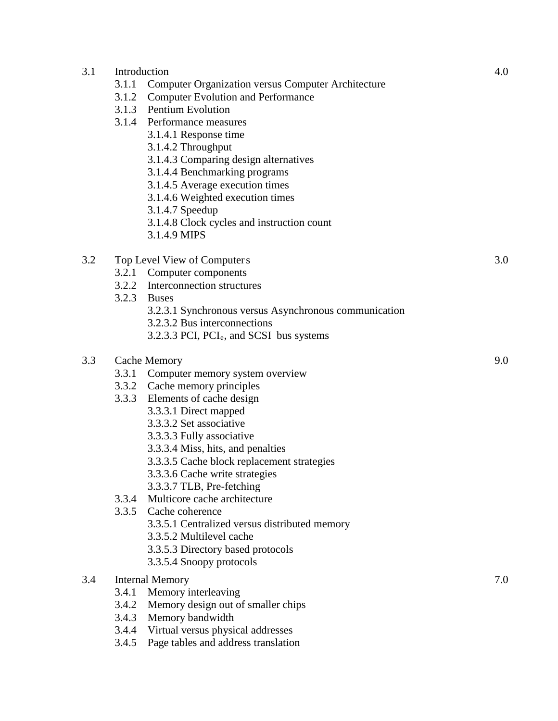| 3.1 | Introduction<br>3.1.1<br>3.1.2   | <b>Computer Organization versus Computer Architecture</b><br><b>Computer Evolution and Performance</b><br>3.1.3 Pentium Evolution<br>3.1.4 Performance measures<br>3.1.4.1 Response time<br>3.1.4.2 Throughput<br>3.1.4.3 Comparing design alternatives<br>3.1.4.4 Benchmarking programs<br>3.1.4.5 Average execution times<br>3.1.4.6 Weighted execution times<br>3.1.4.7 Speedup<br>3.1.4.8 Clock cycles and instruction count<br>3.1.4.9 MIPS                                                                                                                    | 4.0 |
|-----|----------------------------------|---------------------------------------------------------------------------------------------------------------------------------------------------------------------------------------------------------------------------------------------------------------------------------------------------------------------------------------------------------------------------------------------------------------------------------------------------------------------------------------------------------------------------------------------------------------------|-----|
| 3.2 | 3.2.1<br>3.2.3                   | Top Level View of Computers<br>Computer components<br>3.2.2 Interconnection structures<br><b>Buses</b><br>3.2.3.1 Synchronous versus Asynchronous communication<br>3.2.3.2 Bus interconnections<br>3.2.3.3 PCI, PCI <sub>e</sub> , and SCSI bus systems                                                                                                                                                                                                                                                                                                             | 3.0 |
| 3.3 | 3.3.4<br>3.3.5                   | <b>Cache Memory</b><br>3.3.1 Computer memory system overview<br>3.3.2 Cache memory principles<br>3.3.3 Elements of cache design<br>3.3.3.1 Direct mapped<br>3.3.3.2 Set associative<br>3.3.3.3 Fully associative<br>3.3.3.4 Miss, hits, and penalties<br>3.3.3.5 Cache block replacement strategies<br>3.3.3.6 Cache write strategies<br>3.3.3.7 TLB, Pre-fetching<br>Multicore cache architecture<br>Cache coherence<br>3.3.5.1 Centralized versus distributed memory<br>3.3.5.2 Multilevel cache<br>3.3.5.3 Directory based protocols<br>3.3.5.4 Snoopy protocols | 9.0 |
| 3.4 | 3.4.1<br>3.4.2<br>3.4.3<br>3.4.4 | <b>Internal Memory</b><br>Memory interleaving<br>Memory design out of smaller chips<br>Memory bandwidth<br>Virtual versus physical addresses                                                                                                                                                                                                                                                                                                                                                                                                                        | 7.0 |

3.4.5 Page tables and address translation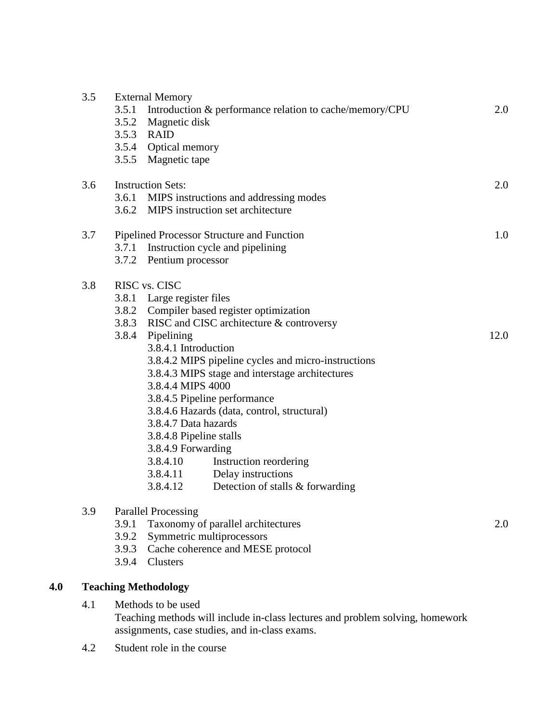| 3.5 | <b>External Memory</b><br>Introduction & performance relation to cache/memory/CPU<br>3.5.1<br>3.5.2 Magnetic disk<br>3.5.3 RAID<br>3.5.4 Optical memory<br>3.5.5 Magnetic tape                                                                                                                                                                                                                                                                                                                                                                                                                      | 2.0  |
|-----|-----------------------------------------------------------------------------------------------------------------------------------------------------------------------------------------------------------------------------------------------------------------------------------------------------------------------------------------------------------------------------------------------------------------------------------------------------------------------------------------------------------------------------------------------------------------------------------------------------|------|
| 3.6 | <b>Instruction Sets:</b><br>3.6.1 MIPS instructions and addressing modes<br>3.6.2 MIPS instruction set architecture                                                                                                                                                                                                                                                                                                                                                                                                                                                                                 | 2.0  |
| 3.7 | Pipelined Processor Structure and Function<br>3.7.1 Instruction cycle and pipelining<br>3.7.2 Pentium processor                                                                                                                                                                                                                                                                                                                                                                                                                                                                                     | 1.0  |
| 3.8 | RISC vs. CISC<br>3.8.1 Large register files<br>3.8.2 Compiler based register optimization<br>3.8.3 RISC and CISC architecture & controversy<br>3.8.4 Pipelining<br>3.8.4.1 Introduction<br>3.8.4.2 MIPS pipeline cycles and micro-instructions<br>3.8.4.3 MIPS stage and interstage architectures<br>3.8.4.4 MIPS 4000<br>3.8.4.5 Pipeline performance<br>3.8.4.6 Hazards (data, control, structural)<br>3.8.4.7 Data hazards<br>3.8.4.8 Pipeline stalls<br>3.8.4.9 Forwarding<br>3.8.4.10<br>Instruction reordering<br>3.8.4.11 Delay instructions<br>3.8.4.12<br>Detection of stalls & forwarding | 12.0 |
| 3.9 | <b>Parallel Processing</b><br>Taxonomy of parallel architectures<br>3.9.1<br>Symmetric multiprocessors<br>3.9.2<br>Cache coherence and MESE protocol<br>3.9.3<br>Clusters<br>3.9.4                                                                                                                                                                                                                                                                                                                                                                                                                  | 2.0  |

# **4.0 Teaching Methodology**

4.1 Methods to be used

Teaching methods will include in-class lectures and problem solving, homework assignments, case studies, and in-class exams.

4.2 Student role in the course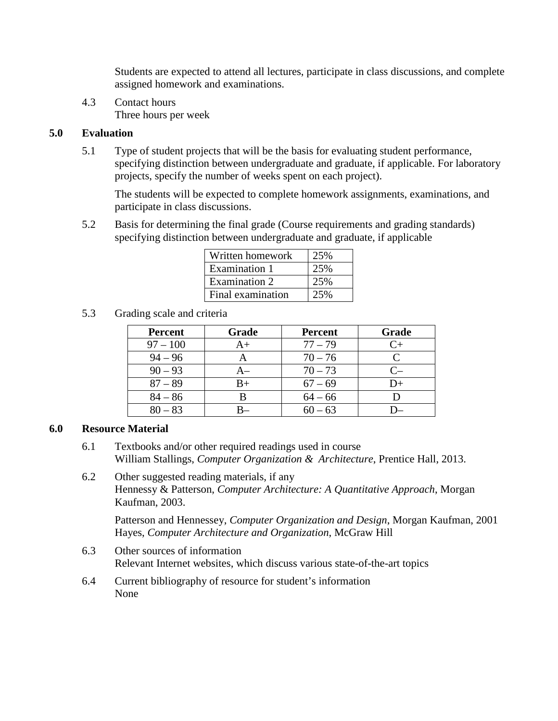Students are expected to attend all lectures, participate in class discussions, and complete assigned homework and examinations.

4.3 Contact hours Three hours per week

# **5.0 Evaluation**

5.1 Type of student projects that will be the basis for evaluating student performance, specifying distinction between undergraduate and graduate, if applicable. For laboratory projects, specify the number of weeks spent on each project).

The students will be expected to complete homework assignments, examinations, and participate in class discussions.

5.2 Basis for determining the final grade (Course requirements and grading standards) specifying distinction between undergraduate and graduate, if applicable

| Written homework     | 25% |
|----------------------|-----|
| Examination 1        | 25% |
| <b>Examination 2</b> | 25% |
| Final examination    | 25% |

5.3 Grading scale and criteria

| <b>Percent</b> | Grade | <b>Percent</b> | Grade |
|----------------|-------|----------------|-------|
| $97 - 100$     | A+    | $77 - 79$      |       |
| $94 - 96$      |       | $70 - 76$      |       |
| $90 - 93$      | A–    | $70 - 73$      |       |
| $87 - 89$      | B+    | $67 - 69$      | $D+$  |
| $84 - 86$      | R     | $64 - 66$      |       |
| $80 - 83$      |       | $60 - 63$      |       |

# **6.0 Resource Material**

- 6.1 Textbooks and/or other required readings used in course William Stallings, *Computer Organization & Architecture*, Prentice Hall, 2013.
- 6.2 Other suggested reading materials, if any Hennessy & Patterson, *Computer Architecture: A Quantitative Approach*, Morgan Kaufman, 2003.

Patterson and Hennessey, *Computer Organization and Design*, Morgan Kaufman, 2001 Hayes, *Computer Architecture and Organization*, McGraw Hill

- 6.3 Other sources of information Relevant Internet websites, which discuss various state-of-the-art topics
- 6.4 Current bibliography of resource for student's information None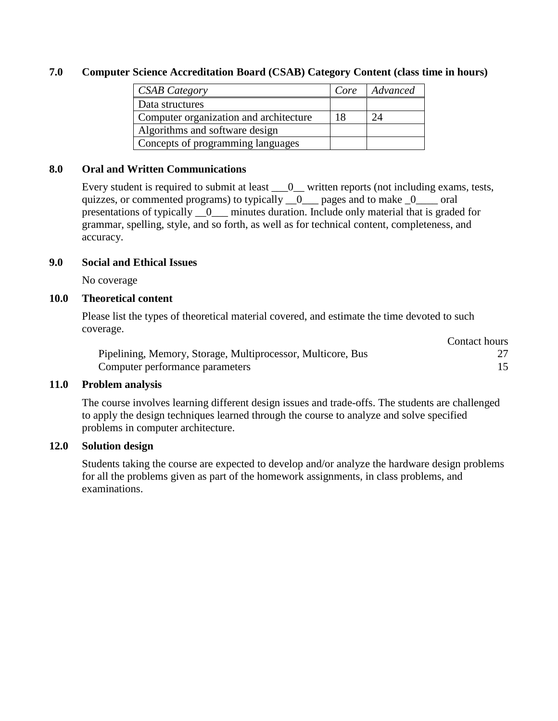## **7.0 Computer Science Accreditation Board (CSAB) Category Content (class time in hours)**

| <b>CSAB Category</b>                   | Core | Advanced |
|----------------------------------------|------|----------|
| Data structures                        |      |          |
| Computer organization and architecture | 18   | $2\pi$   |
| Algorithms and software design         |      |          |
| Concepts of programming languages      |      |          |

#### **8.0 Oral and Written Communications**

Every student is required to submit at least  $\_\_0$  written reports (not including exams, tests, quizzes, or commented programs) to typically  $\_\_0$  pages and to make  $\_\_0$  oral presentations of typically \_\_0\_\_\_ minutes duration. Include only material that is graded for grammar, spelling, style, and so forth, as well as for technical content, completeness, and accuracy.

#### **9.0 Social and Ethical Issues**

No coverage

#### **10.0 Theoretical content**

Please list the types of theoretical material covered, and estimate the time devoted to such coverage.

|                                                             | Contact hours |
|-------------------------------------------------------------|---------------|
| Pipelining, Memory, Storage, Multiprocessor, Multicore, Bus |               |
| Computer performance parameters                             |               |

#### **11.0 Problem analysis**

The course involves learning different design issues and trade-offs. The students are challenged to apply the design techniques learned through the course to analyze and solve specified problems in computer architecture.

## **12.0 Solution design**

Students taking the course are expected to develop and/or analyze the hardware design problems for all the problems given as part of the homework assignments, in class problems, and examinations.